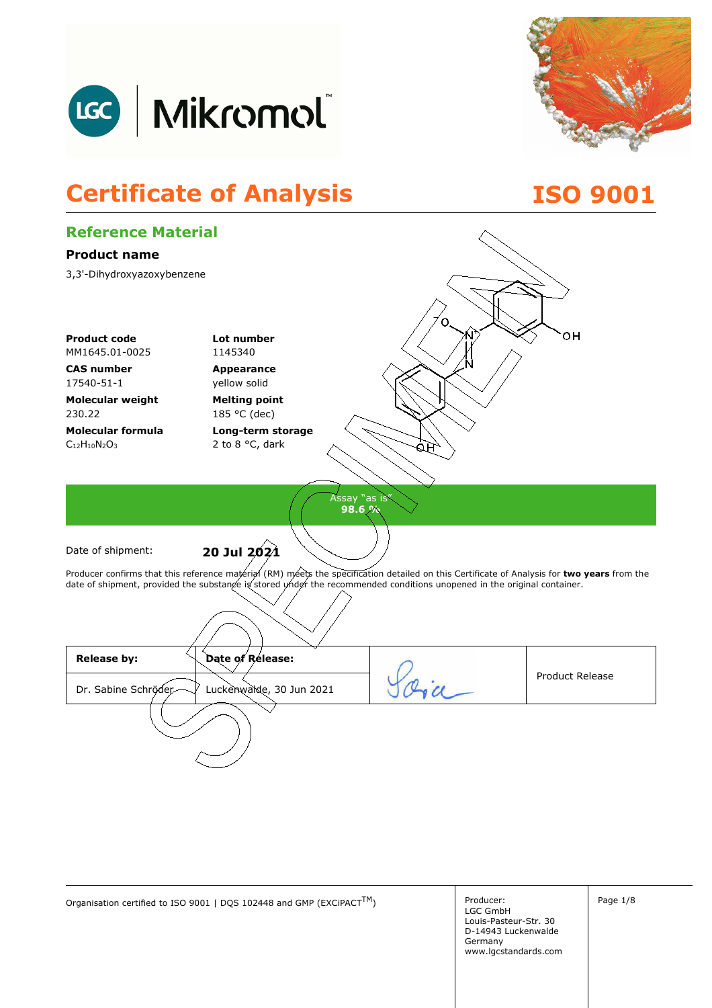



## **Certificate of Analysis ISO 9001**



Organisation certified to ISO 9001 | DQS 102448 and GMP (EXCiPACT<sup>TM</sup>) Producer:

LGC GmbH Louis-Pasteur-Str. 30 D-14943 Luckenwalde Germany www.lgcstandards.com Page 1/8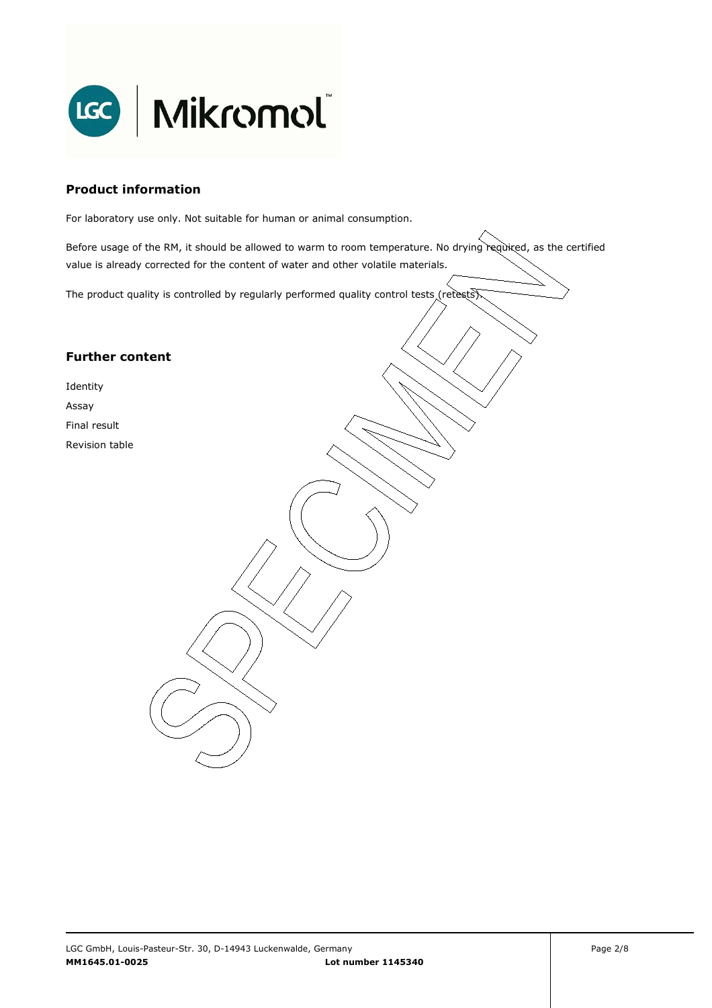

#### **Product information**

For laboratory use only. Not suitable for human or animal consumption.

Before usage of the RM, it should be allowed to warm to room temperature. No drying required, as the certified value is already corrected for the content of water and other volatile materials.

. The product quality is controlled by regularly performed quality control tests (retests).

#### **Further content**

Identity

Assay

Final result

Revision table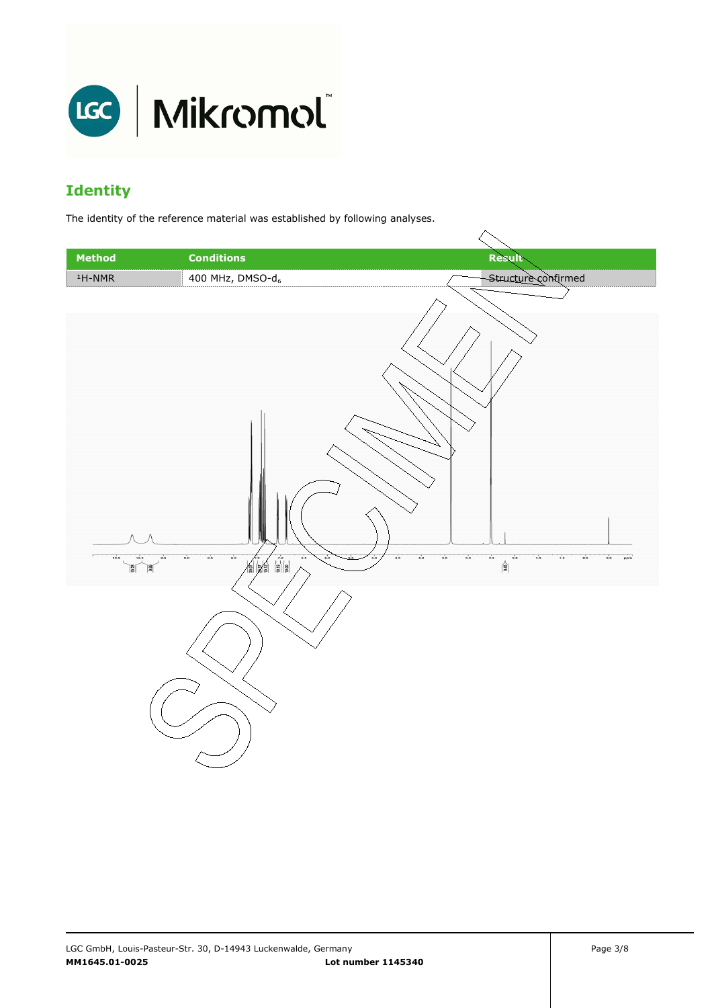

### **Identity**

The identity of the reference material was established by following analyses.

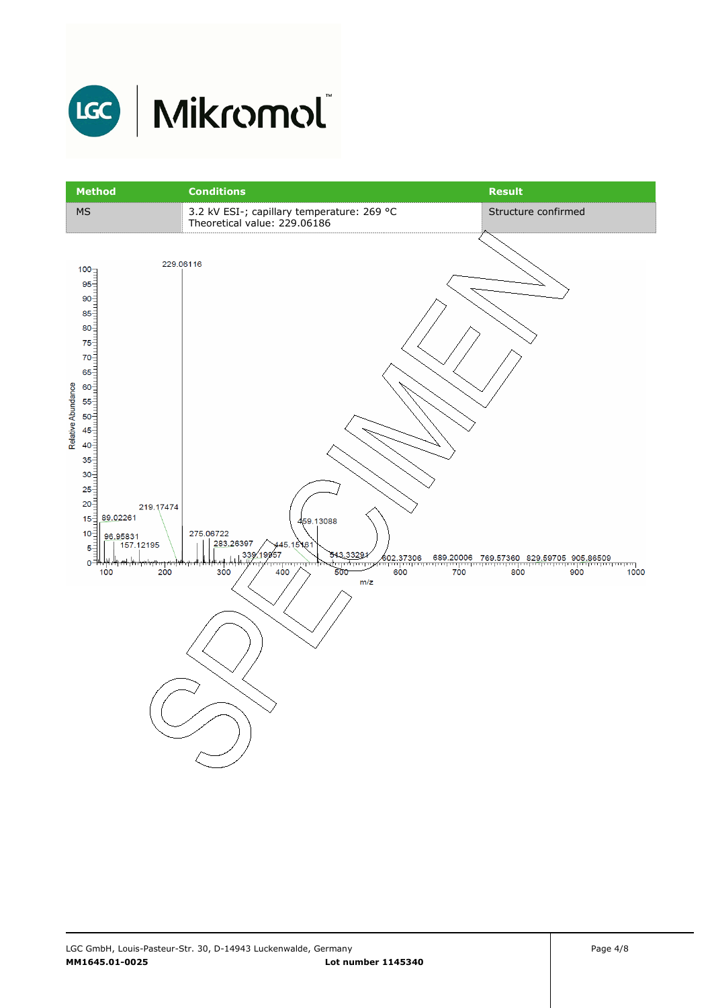

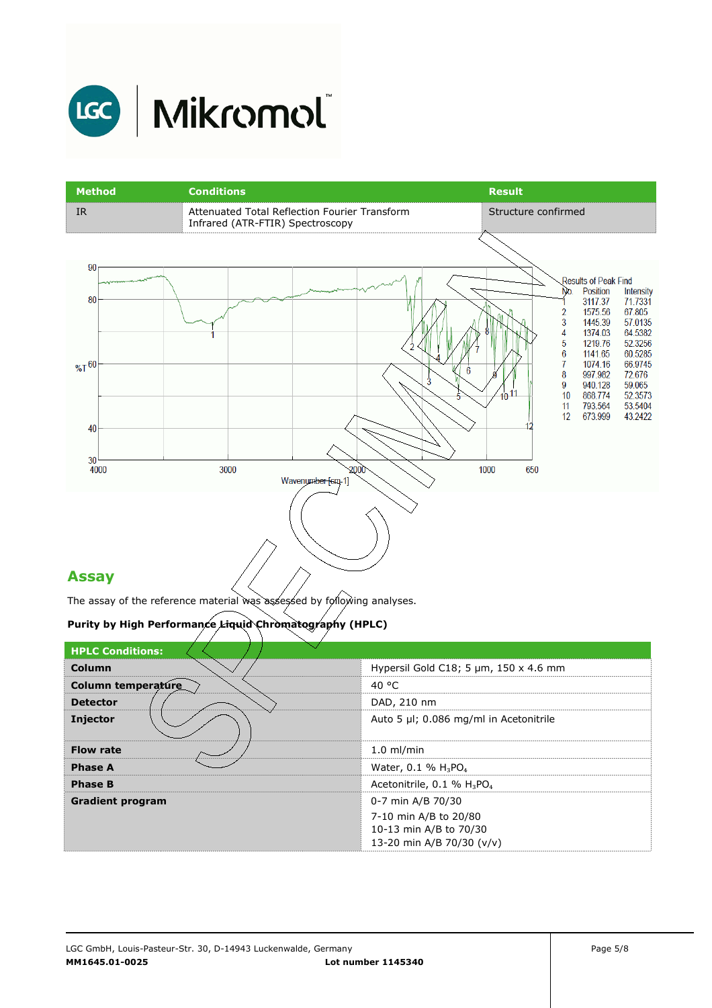

| <b>Method</b>               | <b>Conditions</b>                                                                 | <b>Result</b>                                                                                                                                                                                                                                                                                                                                                                                           |
|-----------------------------|-----------------------------------------------------------------------------------|---------------------------------------------------------------------------------------------------------------------------------------------------------------------------------------------------------------------------------------------------------------------------------------------------------------------------------------------------------------------------------------------------------|
| IR                          | Attenuated Total Reflection Fourier Transform<br>Infrared (ATR-FTIR) Spectroscopy | Structure confirmed                                                                                                                                                                                                                                                                                                                                                                                     |
|                             |                                                                                   |                                                                                                                                                                                                                                                                                                                                                                                                         |
| 90<br>80<br>$%T^{60}$<br>40 | 6<br>3                                                                            | <b>Results of Peak Find</b><br>No.<br>Position<br>Intensity<br>3117.37<br>71.7331<br>67.805<br>2<br>1575.56<br>57.0135<br>3<br>1445.39<br>64.5382<br>1374.03<br>4<br>52.3256<br>1219.76<br>5<br>60.5285<br>6<br>1141.65<br>66.9745<br>1074.16<br>7<br>72.676<br>997.982<br>8<br>59.065<br>940.128<br>9<br>$10^{11}$<br>868.774<br>52.3573<br>10<br>53.5404<br>793.564<br>11<br>673.999<br>43.2422<br>12 |
| 30<br>4000                  | 2000<br>3000<br>Wavenumber [cm-1]                                                 | 1000<br>650                                                                                                                                                                                                                                                                                                                                                                                             |
| Accau                       |                                                                                   |                                                                                                                                                                                                                                                                                                                                                                                                         |

#### **Assay**

The assay of the reference material was assessed by following analyses.

#### **Purity by High Performance Liquid Chromatography (HPLC)**

| <b>HPLC Conditions:</b> |                                                    |
|-------------------------|----------------------------------------------------|
| Column                  | Hypersil Gold C18; 5 $\mu$ m, 150 x 4.6 mm         |
| Column temperature      | 40 °C                                              |
| <b>Detector</b>         | DAD, 210 nm                                        |
| <b>Injector</b>         | Auto 5 µl; 0.086 mg/ml in Acetonitrile             |
| <b>Flow rate</b>        | $1.0$ ml/min                                       |
| <b>Phase A</b>          | Water, 0.1 % $H_3PO_4$                             |
| <b>Phase B</b>          | Acetonitrile, 0.1 % H <sub>3</sub> PO <sub>4</sub> |
| <b>Gradient program</b> | 0-7 min A/B 70/30                                  |
|                         | 7-10 min A/B to 20/80                              |
|                         | 10-13 min A/B to 70/30                             |
|                         | 13-20 min A/B 70/30 (v/v)                          |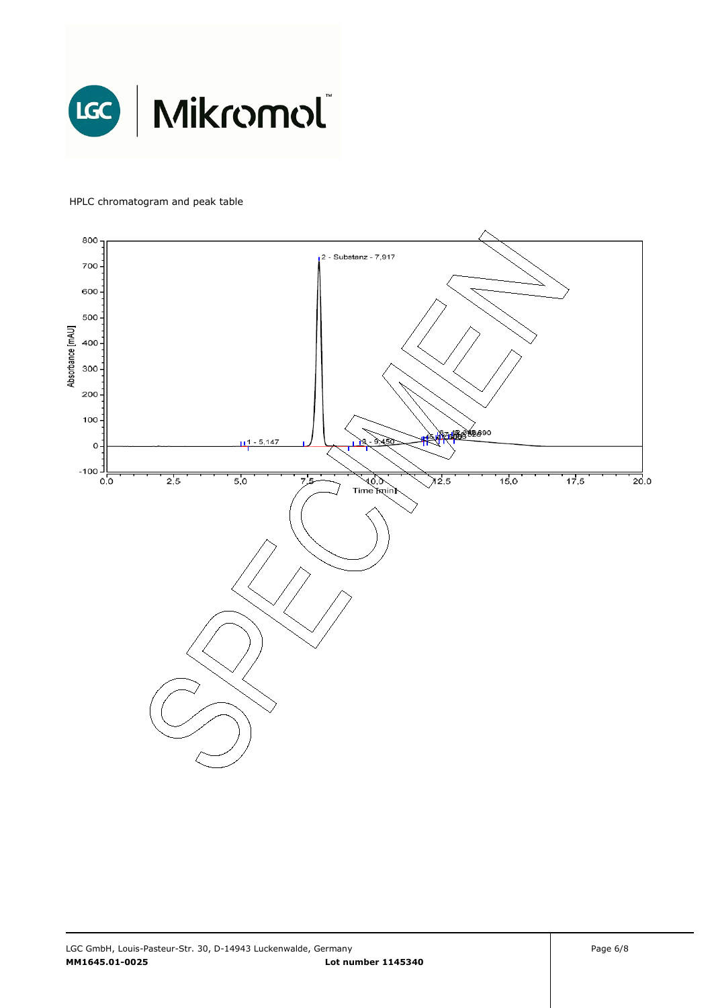

#### HPLC chromatogram and peak table

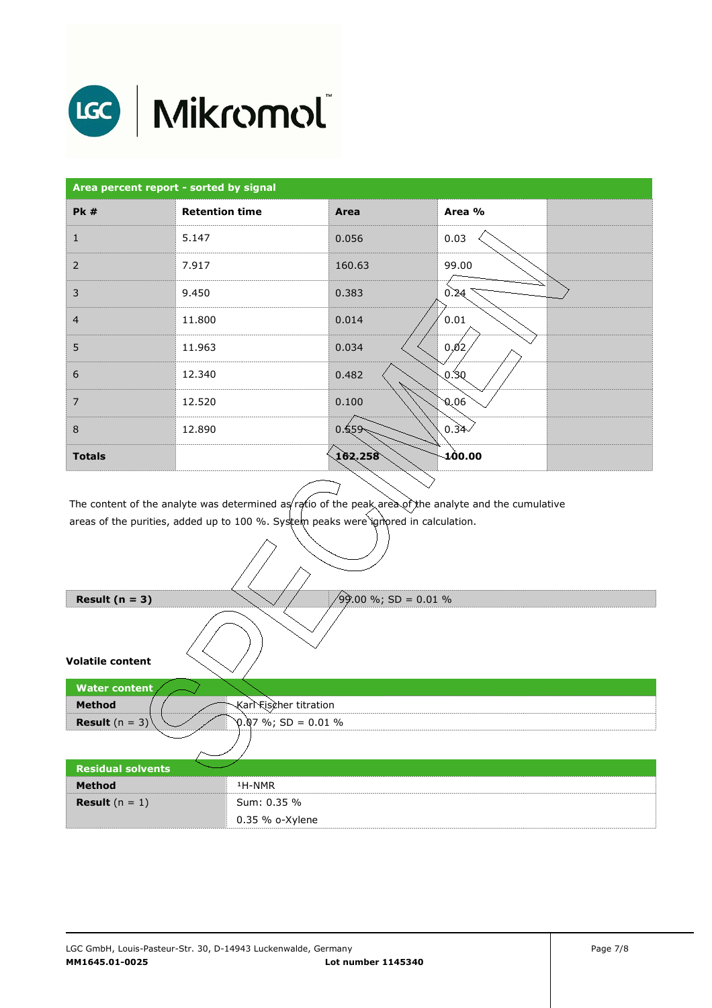

# LGC | Mikromol

| Area percent report - sorted by signal |                       |                  |                          |  |
|----------------------------------------|-----------------------|------------------|--------------------------|--|
| <b>Pk#</b>                             | <b>Retention time</b> | Area             | Area %                   |  |
| $\mathbf{1}$                           | 5.147                 | 0.056            | 0.03                     |  |
| $\overline{2}$                         | 7.917                 | 160.63           | 99.00                    |  |
| 3                                      | 9.450                 | 0.383            | 0.24                     |  |
| $\overline{4}$                         | 11.800                | 0.014            | 0.01                     |  |
| 5                                      | 11.963                | 0.034            | 0,02                     |  |
| 6                                      | 12.340                | 0.482            | 0.80                     |  |
| $\overline{7}$                         | 12.520                | 0.100            | 0,0                      |  |
| 8                                      | 12.890                | 0.559            | 0.34<                    |  |
| <b>Totals</b>                          |                       | $\sqrt{162.258}$ | $\mathbf{\Lambda}$ 00.00 |  |

The content of the analyte was determined as ratio of the peak area of the analyte and the cumulative areas of the purities, added up to 100 %. System peaks were ignored in calculation.

| Result $(n = 3)$            | $\sqrt{99.00}$ %; SD = 0.01 % |
|-----------------------------|-------------------------------|
|                             |                               |
| <b>Volatile content</b>     |                               |
| <b>Water content</b>        |                               |
| <b>Method</b>               | Karl Fischer titration        |
| <b>Result</b> $(n = 3)^{n}$ | $0.07\%$ ; SD = 0.01 %        |
|                             |                               |
| <b>Residual solvents</b>    |                               |
| <b>Method</b>               | <sup>1</sup> H-NMR            |
| <b>Result</b> $(n = 1)$     | Sum: 0.35 %                   |
|                             | $0.35$ % o-Xylene             |